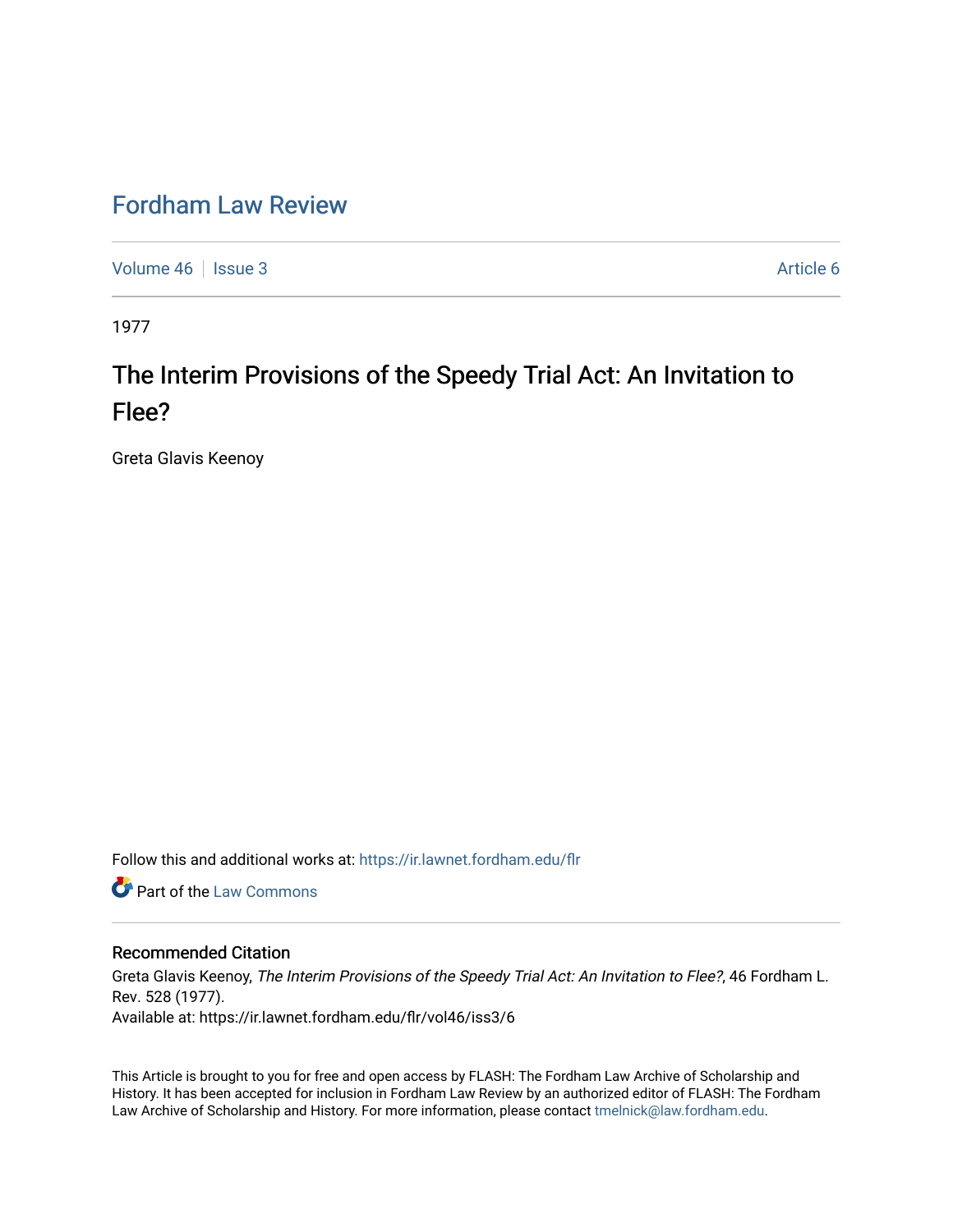## [Fordham Law Review](https://ir.lawnet.fordham.edu/flr)

[Volume 46](https://ir.lawnet.fordham.edu/flr/vol46) | [Issue 3](https://ir.lawnet.fordham.edu/flr/vol46/iss3) Article 6

1977

# The Interim Provisions of the Speedy Trial Act: An Invitation to Flee?

Greta Glavis Keenoy

Follow this and additional works at: [https://ir.lawnet.fordham.edu/flr](https://ir.lawnet.fordham.edu/flr?utm_source=ir.lawnet.fordham.edu%2Fflr%2Fvol46%2Fiss3%2F6&utm_medium=PDF&utm_campaign=PDFCoverPages)

Part of the [Law Commons](http://network.bepress.com/hgg/discipline/578?utm_source=ir.lawnet.fordham.edu%2Fflr%2Fvol46%2Fiss3%2F6&utm_medium=PDF&utm_campaign=PDFCoverPages)

## Recommended Citation

Greta Glavis Keenoy, The Interim Provisions of the Speedy Trial Act: An Invitation to Flee?, 46 Fordham L. Rev. 528 (1977). Available at: https://ir.lawnet.fordham.edu/flr/vol46/iss3/6

This Article is brought to you for free and open access by FLASH: The Fordham Law Archive of Scholarship and History. It has been accepted for inclusion in Fordham Law Review by an authorized editor of FLASH: The Fordham Law Archive of Scholarship and History. For more information, please contact [tmelnick@law.fordham.edu](mailto:tmelnick@law.fordham.edu).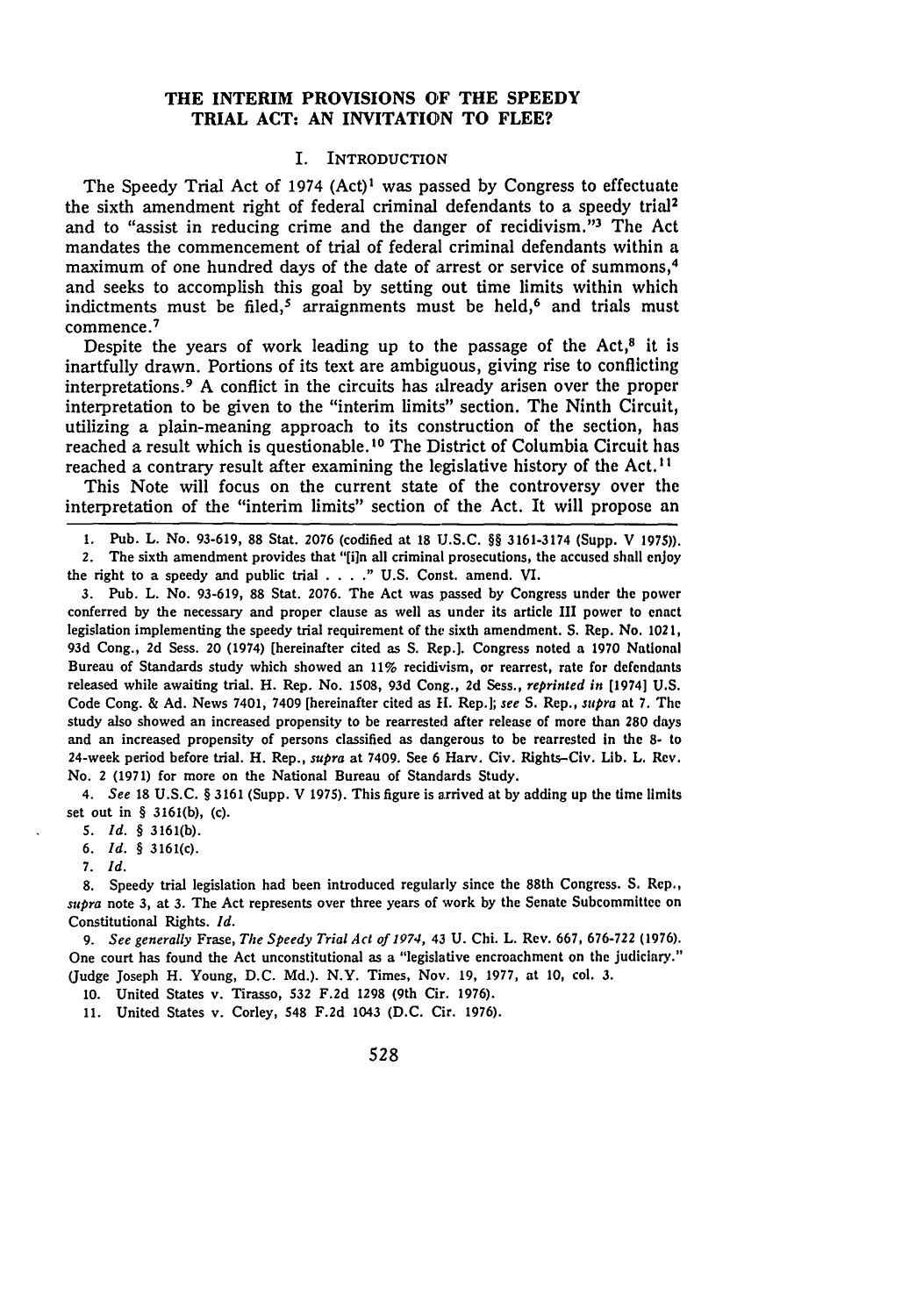## **THE INTERIM PROVISIONS OF THE SPEEDY TRIAL ACT: AN INVITATION TO FLEE?**

## I. INTRODUCTION

The Speedy Trial Act of 1974 (Act)' was passed by Congress to effectuate the sixth amendment right of federal criminal defendants to a speedy trial<sup>2</sup> and to "assist in reducing crime and the danger of recidivism."<sup>3</sup> The Act mandates the commencement of trial of federal criminal defendants within a maximum of one hundred days of the date of arrest or service of summons,<sup>4</sup> and seeks to accomplish this goal by setting out time limits within which indictments must be filed,<sup>5</sup> arraignments must be held,<sup>6</sup> and trials must commence. 7

Despite the years of work leading up to the passage of the  $Act<sup>8</sup>$  it is inartfully drawn. Portions of its text are ambiguous, giving rise to conflicting interpretations. 9 A conflict in the circuits has already arisen over the proper interpretation to be given to the "interim limits" section. The Ninth Circuit, utilizing a plain-meaning approach to its construction of the section, has reached a result which is questionable.10 The District of Columbia Circuit has reached a contrary result after examining the legislative history of the Act. **I**

This Note will focus on the current state of the controversy over the interpretation of the "interim limits" section of the Act. It will propose an

1. Pub. L. No. 93-619, 88 Stat. 2076 (codified at 18 U.S.C. **§§** 3161-3174 (Supp. V 1975)). 2. The sixth amendment provides that "[iln all criminal prosecutions, the accused shall enjoy

the right to a speedy and public trial . **. . ."** U.S. Const. amend. VI.

**3.** Pub. L. No. 93-619, 88 Stat. 2076. The Act was passed by Congress under the power conferred by the necessary and proper clause as well as under its article III power to enact legislation implementing the speedy trial requirement of the sixth amendment. S. Rep. No. 1021, **93d** Cong., 2d Sess. 20 (1974) (hereinafter cited as S. Rep.]. Congress noted a 1970 National Bureau of Standards study which showed an 11% recidivism, or rearrest, rate for defendants released while awaiting trial. H. Rep. No. **1508, 93d** Cong., **2d** Sess., reprinted in [19741 **U.S.** Code Cong. & **Ad.** News 7401, 7409 [hereinafter cited as **11.** Rep.]; *see* **S.** Rep., *supra* at **7.** The study also showed an increased propensity to be rearrested after release of more than **280** days and an increased propensity of persons classified as dangerous to be rearrested in the **8-** to 24-week period before trial. H. Rep., *supra* at 7409. See 6 Harv. Civ. Rights-Civ. **Lib.** L. Rev. No. 2 **(1971)** for more on the National Bureau of Standards Study.

*4. See* **18 U.S.C. § 3161** (Supp. V 1975). This figure is arrived at **by** adding up the time limits set out in **§ 3161(b),** (c).

**S.** *Id.* **§** 3161(b).

6. *Id.* **§** 3161(c).

7. *Id.*

8. Speedy trial legislation had been introduced regularly since the 88th Congress. **S.** Rep., *supra* note **3,** at **3.** The Act represents over three years of work **by** the Senate Subcommittee on Constitutional Rights. *Id.*

*9. See generally* Frase, *The Speedy Trial Act of 1974,* 43 **U.** Chi. L. Rev. 667, **676-722 (1976).** One court has found the Act unconstitutional as a "legislative encroachment on the judiciary." (Judge Joseph H. Young, **D.C. Md.).** N.Y. Times, Nov. **19,** 1977, at **10,** col. **3.**

**10.** United States v. Tirasso, **532 F.2d 1298** (9th Cir. **1976).**

**11.** United States v. Corley, 548 **F.2d** 1043 **(D.C.** Cir. **1976).**

528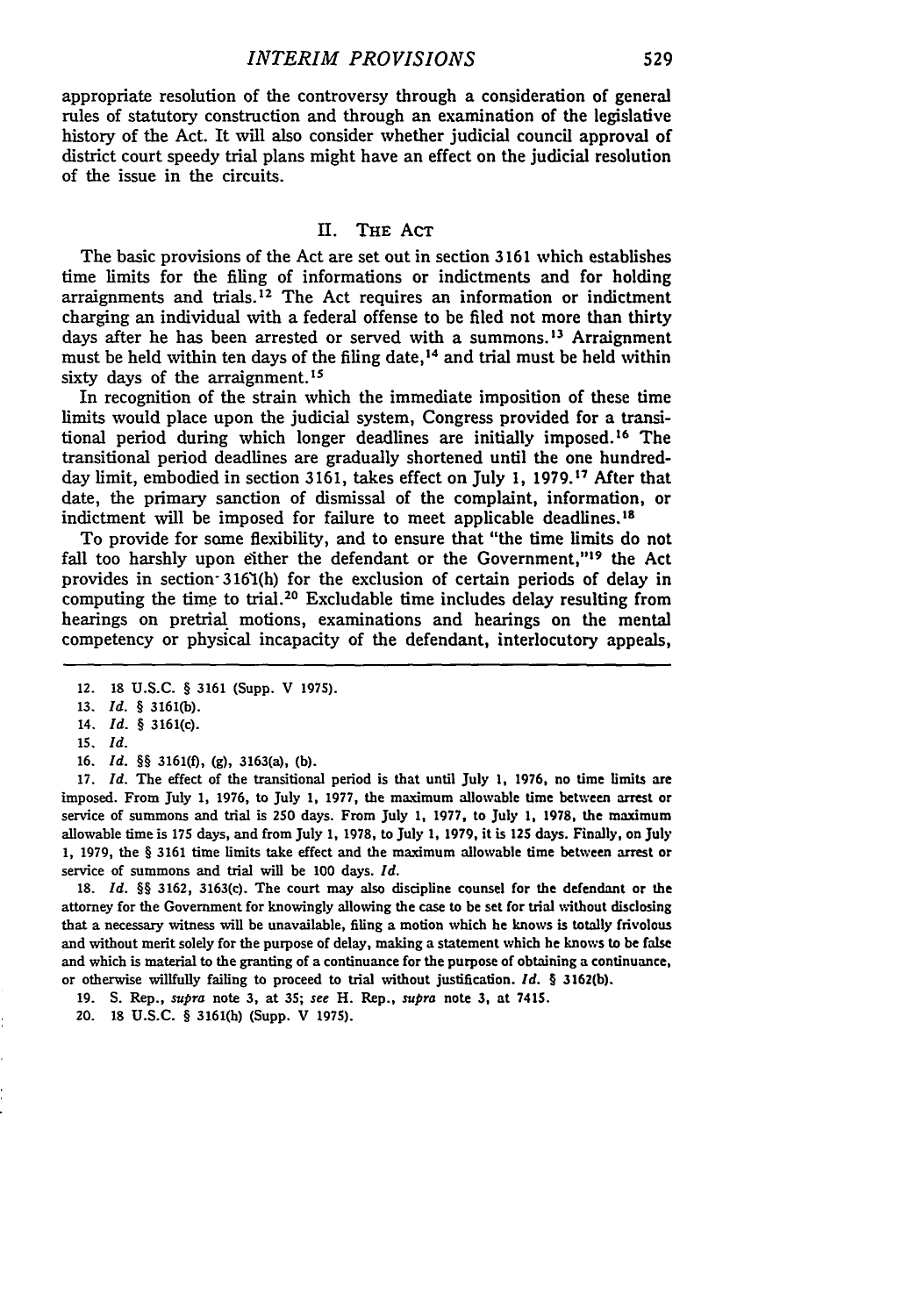appropriate resolution of the controversy through a consideration of general rules of statutory construction and through an examination of the legislative history of the Act. It will also consider whether judicial council approval of district court speedy trial plans might have an effect on the judicial resolution of the issue in the circuits.

## II. THE AcT

The basic provisions of the Act are set out in section 3161 which establishes time limits for the filing of informations or indictments and for holding arraignments and trials.<sup>12</sup> The Act requires an information or indictment charging an individual with a federal offense to be filed not more than thirty days after he has been arrested or served with a summons.<sup>13</sup> Arraignment must be held within ten days of the filing date,<sup>14</sup> and trial must be held within sixty days of the arraignment.<sup>15</sup>

In recognition of the strain which the immediate imposition of these time limits would place upon the judicial system, Congress provided for a transitional period during which longer deadlines are initially imposed. 16 The transitional period deadlines are gradually shortened until the one hundredday limit, embodied in section 3161, takes effect on July 1, 1979.<sup>17</sup> After that date, the primary sanction of dismissal of the complaint, information, or indictment will be imposed for failure to meet applicable deadlines.<sup>18</sup>

To provide for some flexibility, and to ensure that "the time limits do not fall too harshly upon either the defendant or the Government,"<sup>19</sup> the Act provides in section-31651(h) for the exclusion of certain periods of delay in computing the time to trial.<sup>20</sup> Excludable time includes delay resulting from hearings on pretrial motions, examinations and hearings on the mental competency or physical incapacity of the defendant, interlocutory appeals,

16. *Id.* §§ 3161(f), (g), 3163(a), (b).

17. *Id.* The effect of the transitional period is that until July **1,** 1976, no time limits are imposed. From July 1, 1976, to July **1, 1977,** the maximum allowable time between arrest or service of summons and trial is **250** days. From July **1,** 1977, to July **1, 1978,** the maximum allowable time is **175** days, and from July **1,** 1978, to July **1,** 1979, it is **125** days. Finally, on July 1, 1979, the § 3161 time limits take effect and the maximum allowable time between arrest or service of summons and trial will be 100 days. *Id.*

18. *Id.* §§ 3162, 3163(c). The court may also discipline counsel for the defendant or the attorney for the Government for knowingly allowing the case to be set for trial without disclosing that a necessary witness will be unavailable, filing a motion which he knows is totally frivolous and without merit solely for the purpose of delay, making a statement which he knows to be false and which is material to the granting of a continuance for the purpose of obtaining a continuance, or otherwise willfully failing to proceed to trial without justification. *Id.* § 3162(b).

19. S. Rep., *supra* note **3,** at **35;** see H. Rep., supra note **3,** at **7415.**

20. 18 U.S.C. § 3161(h) (Supp. V 1975).

<sup>12. 18</sup> U.S.C. § 3161 (Supp. V 1975).

**<sup>13.</sup>** *Id.* § 3161(b).

<sup>14.</sup> *Id. §* 3161(c).

**<sup>15.</sup>** *Id.*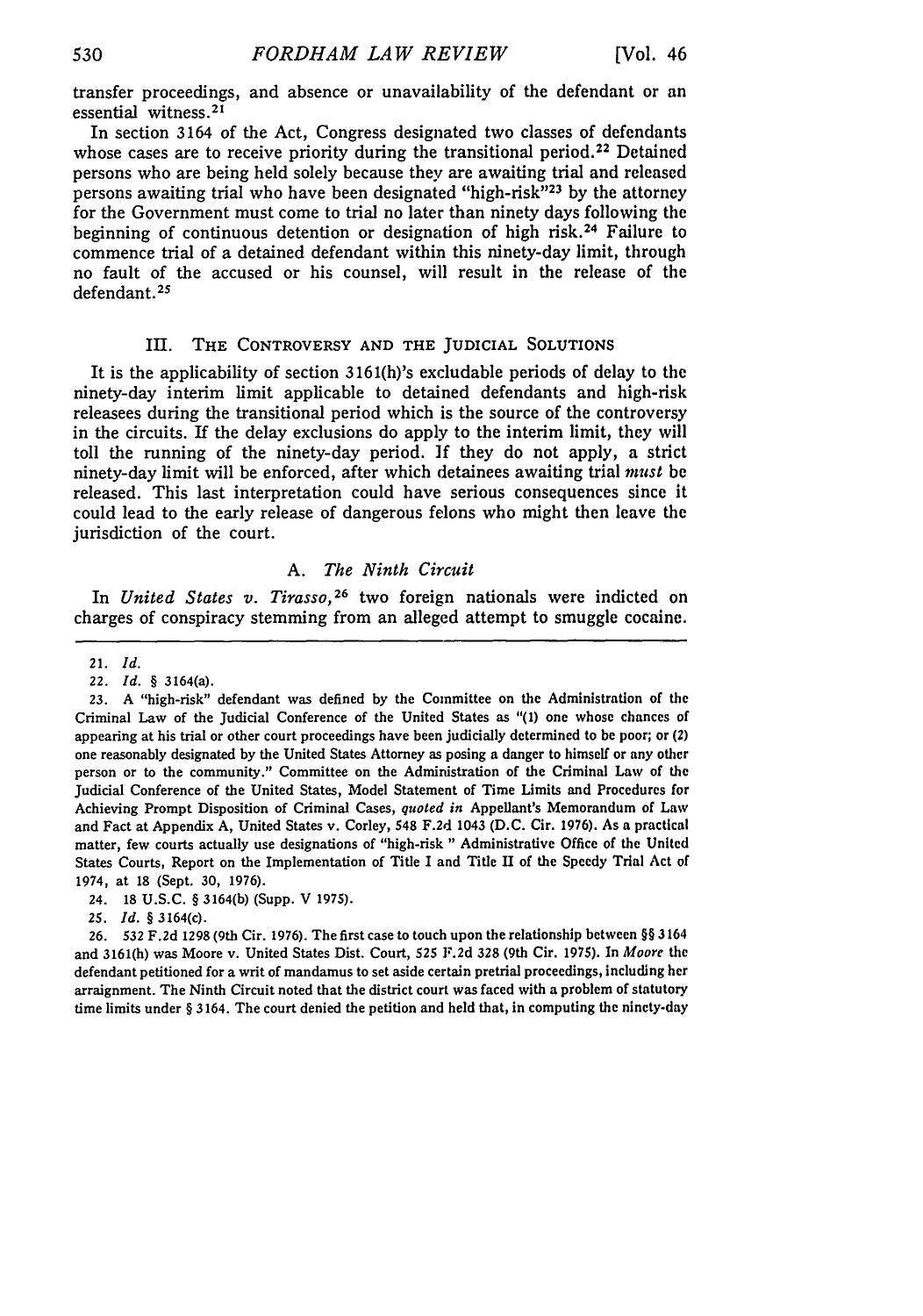transfer proceedings, and absence or unavailability of the defendant or an essential witness. <sup>21</sup>

In section 3164 of the Act, Congress designated two classes of defendants whose cases are to receive priority during the transitional period.<sup>22</sup> Detained persons who are being held solely because they are awaiting trial and released persons awaiting trial who have been designated "high-risk"<sup>23</sup> by the attorney for the Government must come to trial no later than ninety days following the beginning of continuous detention or designation of high risk. 24 Failure to commence trial of a detained defendant within this ninety-day limit, through no fault of the accused or his counsel, will result in the release of the defendant. **25**

## **III.** THE CONTROVERSY **AND** THE JUDICIAL **SOLUTIONS**

It is the applicability of section 3161(h)'s excludable periods of delay to the ninety-day interim limit applicable to detained defendants and high-risk releasees during the transitional period which is the source of the controversy in the circuits. If the delay exclusions do apply to the interim limit, they will toll the running of the ninety-day period. **If** they do not apply, a strict ninety-day limit will be enforced, after which detainees awaiting trial must be released. This last interpretation could have serious consequences since it could lead to the early release of dangerous felons who might then leave the jurisdiction of the court.

## *A. The Ninth Circuit*

In *United States v. Tirasso,26* two foreign nationals were indicted on charges of conspiracy stemming from an alleged attempt to smuggle cocaine.

**25.** *Id. §* 3164(c).

**26. 532 F.2d** 1298 (9th Cir. 1976). The first case to touch upon the relationship between §§ 3164 and 3161(h) was Moore v. United States Dist. Court, **525 F.2d 328** (9th Cir. 1975). In *Moore* the defendant petitioned for a writ of mandamus to set aside certain pretrial proceedings, including her arraignment. The Ninth Circuit noted that the district court was faced with a problem of statutory time limits under § 3164. The court denied the petition and held that, in computing the ninety-day

<sup>21.</sup> *Id.*

*<sup>22.</sup> Id. §* 3164(a).

**<sup>23.</sup>** A "high-risk" defendant was defined **by** the Committee on the Administration of the Criminal Law of the Judicial Conference of the United States as "(1) one whose chances of appearing at his trial or other court proceedings have been judicially determined to be poor; or (2) one reasonably designated **by** the United States Attorney as posing a danger to himself or any other person or to the community." Committee on the Administration of the Criminal Law of the Judicial Conference of the United States, Model Statement of Time Limits and Procedures for Achieving Prompt Disposition of Criminal Cases, *quoted in* Appellant's Memorandum of Law and Fact at Appendix A, United States v. Corley, 548 **F.2d** 1043 **(D.C.** Cir. 1976). As a practical matter, few courts actually use designations of "high-risk " Administrative Office of the United States Courts, Report on the Implementation of Title I and Title II of the **Speedy** Trial Act of 1974, at 18 (Sept. **30,** 1976).

<sup>24. 18</sup> U.S.C. § 3164(b) (Supp. V 1975).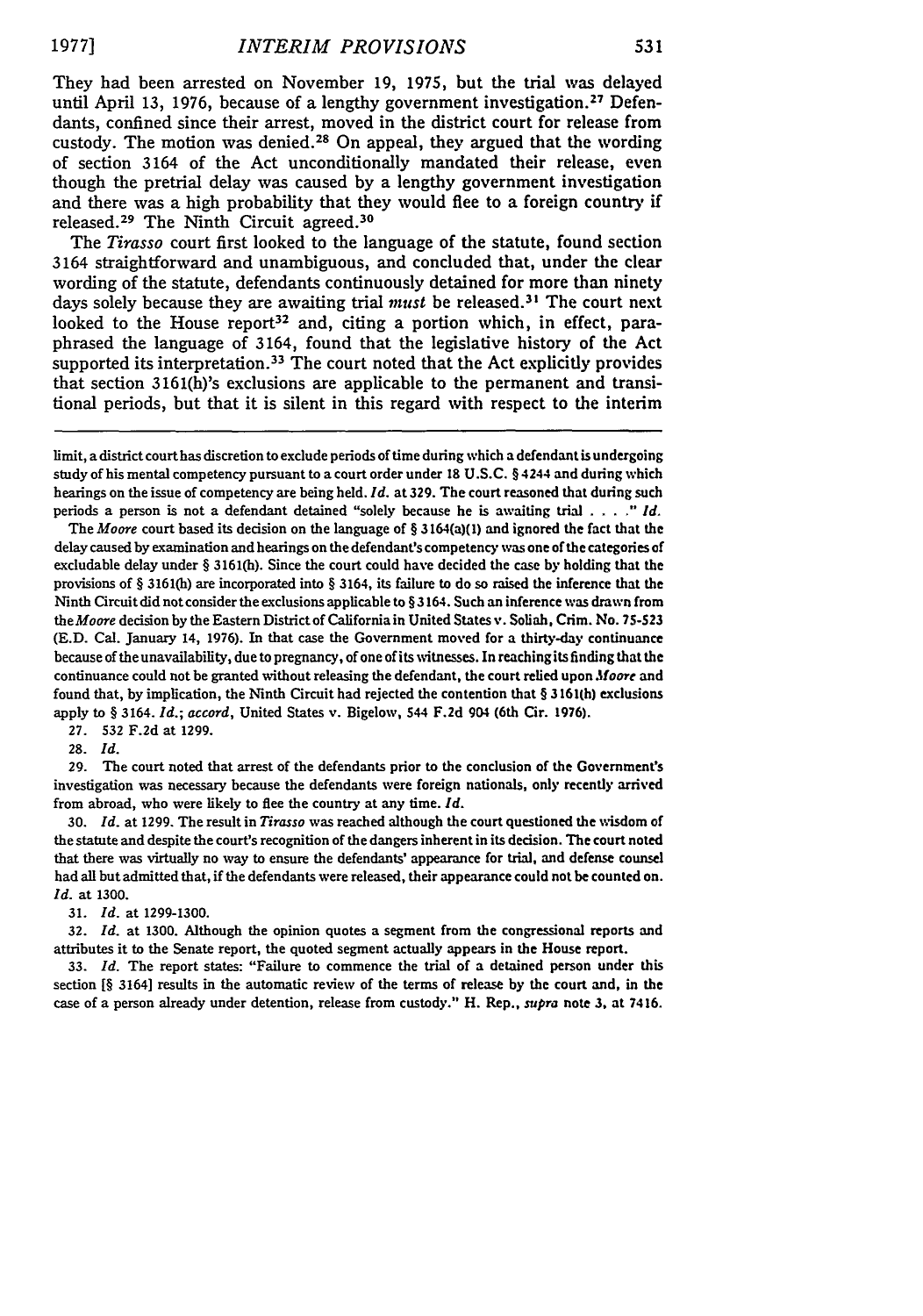They had been arrested on November 19, 1975, but the trial was delayed until April 13, 1976, because of a lengthy government investigation.<sup>27</sup> Defendants, confined since their arrest, moved in the district court for release from custody. The motion was denied. 28 On appeal, they argued that the wording of section 3164 of the Act unconditionally mandated their release, even though the pretrial delay was caused by a lengthy government investigation and there was a high probability that they would flee to a foreign country if released. 29 The Ninth Circuit agreed. <sup>30</sup>

The *Tirasso* court first looked to the language of the statute, found section 3164 straightforward and unambiguous, and concluded that, under the clear wording of the statute, defendants continuously detained for more than ninety days solely because they are awaiting trial must be released.<sup>31</sup> The court next looked to the House report<sup>32</sup> and, citing a portion which, in effect, paraphrased the language of 3164, found that the legislative history of the Act supported its interpretation.<sup>33</sup> The court noted that the Act explicitly provides that section 3161(h)'s exclusions are applicable to the permanent and transitional periods, but that it is silent in this regard with respect to the interim

The *Moore* court based its decision on the language of § 3164(a)(1) and ignored the fact that the delay caused **by** examination and hearings on the defendant's competency was one of the categories of excludable delay under § 3161(h). Since the court could have decided the case **by** holding that the provisions of § 3161(h) are incorporated into § 3164, its failure to do so raised the inference that the Ninth Circuit did not consider the exclusions applicable to §3164. Such an inference was drawn from *theMoore* decision **by** the Eastern Districtof California in United States v. Soliah, Crim. No. **75-523** (E.D. Cal. January 14, 1976). In that case the Government moved for a thirty-day continuance because of the unavailability, due to pregnancy, of one of its witnesses. In reaching its finding that the continuance could not be granted without releasing the defendant, the court relied upon *foore* and found that, **by** implication, the Ninth Circuit had rejected the contention that § 3161(h) exclusions apply to § 3164. *Id.; accord,* United States v. Bigelow, 544 **F.2d 904** (6th Cir. 1976).

**27. 532 F.2d** at 1299.

**28.** *Id.*

**29.** The court noted that arrest of the defendants prior to the conclusion of the Government's investigation was necessary because the defendants were foreign nationals, only recently arrived from abroad, who were likely to flee the country at any time. *Id.*

**30.** *Id.* at 1299. The result in *Tirasso* was reached although the court questioned the wisdom of the statute and despite the court's recognition of the dangers inherent in its decision. The court noted that there was virtually no way to ensure the defendants' appearance for trial, and defense counsel had all but admitted that, if the defendants were released, their appearance could not be counted on. *Id.* at 1300.

**31.** *Id.* at 1299-1300.

**32.** *Id.* at 1300. Although the opinion quotes a segment from the congressional reports and attributes it to the Senate report, the quoted segment actually appears in the House report.

**33.** *Id.* The report states: "Failure to commence the trial of a detained person under this section [§ 3164] results in the automatic review of the terms of release **by** the court and, in the case of a person already under detention, release from custody." H. Rep., *supra* note **3,** at 7416.

Emit, a district court has discretion to exclude periods of time during which a defendant is undergoing study of his mental competency pursuant to a court order under **18** U.S.C. § 4244 and during which hearings on the issue of competency are being held. *Id.* at **329.** The court reasoned that during such periods a person is not a defendant detained "solely because he is awaiting trial ... *." Id.*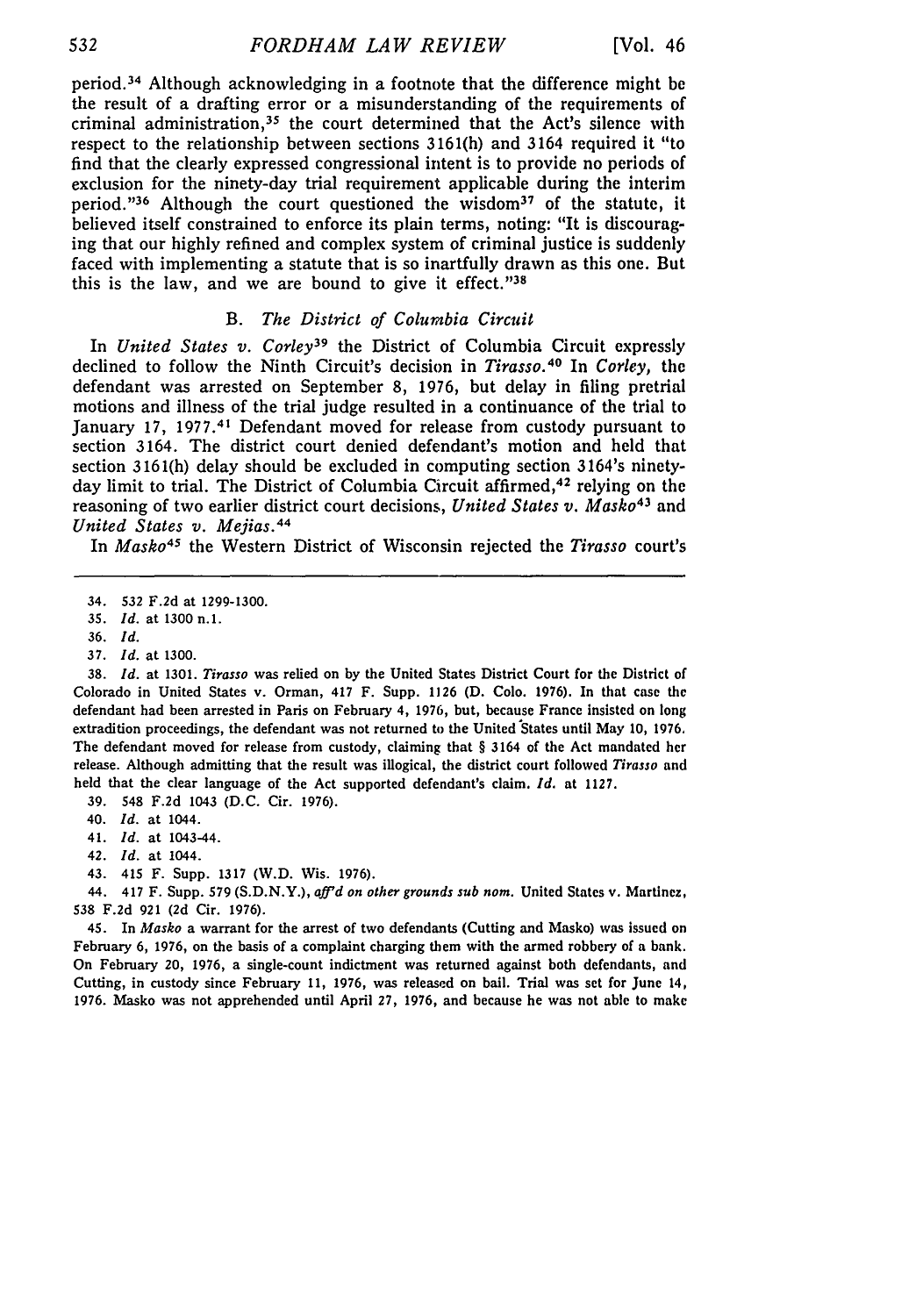period. 34 Although acknowledging in a footnote that the difference might be the result of a drafting error or a misunderstanding of the requirements of criminal administration,<sup>35</sup> the court determined that the Act's silence with respect to the relationship between sections 3161(h) and 3164 required it "to find that the clearly expressed congressional intent is to provide no periods of exclusion for the ninety-day trial requirement applicable during the interim period. '36 Although the court questioned the wisdom37 of the statute, it believed itself constrained to enforce its plain terms, noting: "It is discouraging that our highly refined and complex system of criminal justice is suddenly faced with implementing a statute that is so inartfully drawn as this one. But this is the law, and we are bound to give it effect." $38$ 

## *B. The District of Columbia Circuit*

In *United States v. Corley39* the District of Columbia Circuit expressly declined to follow the Ninth Circuit's decision in *Tirasso.40* In *Corley, the* defendant was arrested on September 8, 1976, but delay in filing pretrial motions and illness of the trial judge resulted in a continuance of the trial to January 17, 1977.41 Defendant moved for release from custody pursuant to section 3164. The district court denied defendant's motion and held that section 3161(h) delay should be excluded in computing section 3164's ninetyday limit to trial. The District of Columbia Circuit affirmed, 42 relying on the reasoning of two earlier district court decisions, *United States v. Masko<sup>43</sup>*and *United States v. Mejias.<sup>44</sup>*

In *Masko45* the Western District of Wisconsin rejected the *Tirasso* court's

35. *Id.* at 1300 n.1.

**38.** *Id.* at **1301.** *Tirasso* was relied on **by** the United States District Court for the District of Colorado in United States v. Orman, 417 F. Supp. **1126 (D. Colo. 1976).** In that case the defendant had been arrested in Paris on February 4, **1976,** but, because France insisted on long extradition proceedings, the defendant was not returned to the United States until May **10, 1976,** The defendant moved for release from custody, claiming that § 3164 of the Act mandated her release. Although admitting that the result was illogical, the district court followed *Tirasso* and held that the clear language of the Act supported defendant's claim. *Id.* at **1127.**

**39.** 548 **F.2d** 1043 **(D.C.** Cir. **1976).**

42. *Id.* at 1044.

44. 417 F. Supp. **579 (S.D.N.Y.),** *aff'd on other grounds sub nom.* United States v. Martinez, **538 F.2d 921 (2d** Cir. **1976).**

45. In *Masko* a warrant for the arrest of two defendants (Cutting and Masko) was issued on February **6, 1976,** on the basis of a complaint charging them with the armed robbery of a bank. On February 20, **1976,** a single-count indictment was returned against both defendants, and Cutting, in custody since February **11, 1976,** was released on bail. Trial was set for June 14, **1976.** Masko was not apprehended until April **27, 1976,** and because he was not able to make

<sup>34. 532</sup> F.2d at 1299-1300.

<sup>36.</sup> *Id.*

<sup>37.</sup> *Id.* at 1300.

<sup>40.</sup> *Id.* at 1044.

<sup>41.</sup> *Id.* at 1043-44.

<sup>43. 415</sup> F. Supp. **1317** (W.D. Wis. **1976).**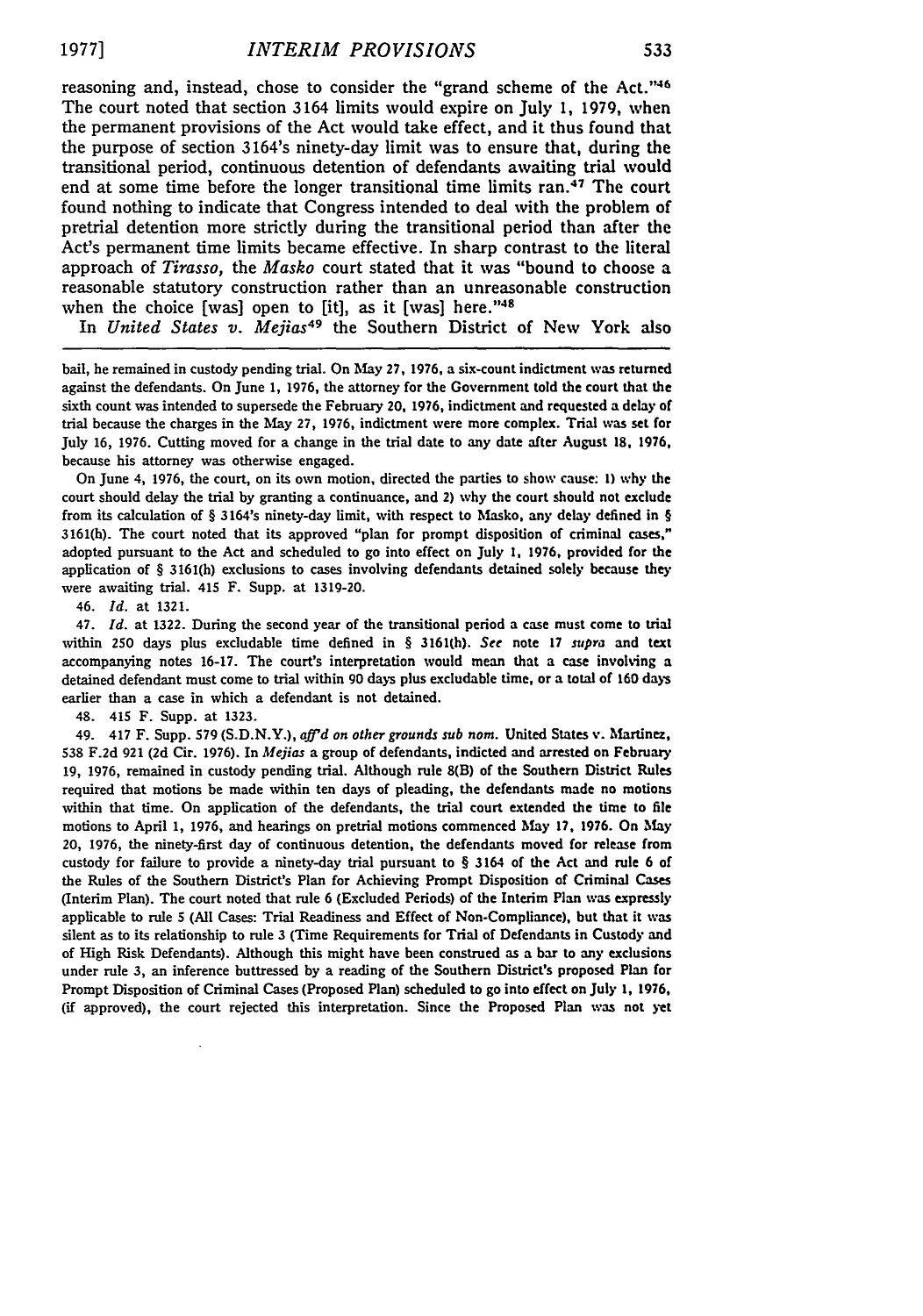reasoning and, instead, chose to consider the "grand scheme of the Act."<sup>46</sup> The court noted that section 3164 limits would expire on July **1,** 1979, when the permanent provisions of the Act would take effect, and it thus found that the purpose of section 3164's ninety-day limit was to ensure that, during the transitional period, continuous detention of defendants awaiting trial would end at some time before the longer transitional time limits ran.<sup>47</sup> The court found nothing to indicate that Congress intended to deal with the problem of pretrial detention more strictly during the transitional period than after the Act's permanent time limits became effective. In sharp contrast to the literal approach of *Tirasso,* the *Masko* court stated that it was "bound to choose a reasonable statutory construction rather than an unreasonable construction when the choice [was] open to [it], as it [was] here." $48$ 

In *United States v. Mejias<sup>49</sup>* the Southern District of New York also

bail, he remained in custody pending trial. On May 27, 1976, a six-count indictment was returned against the defendants. On June 1, 1976, the attorney for the Government told the court that the sixth count was intended to supersede the February 20, 1976, indictment and requested a delay of trial because the charges in the May 27, 1976, indictment were more complex. Trial was set for July 16, 1976. Cutting moved for a change in the trial date to any date after August **18,** 1976, because his attorney was otherwise engaged.

On June 4, 1976, the court, on its own motion, directed the parties to show cause: **1)** why the court should delay the trial by granting a continuance, and 2) why the court should not exclude from its calculation of § 3164's ninety-day limit, with respect to Masko, any delay defined in § 3161(h). The court noted that its approved "plan for prompt disposition of criminal cases," adopted pursuant to the Act and scheduled to go into effect on July 1, 1976, provided for the application of § 3161(h) exclusions to cases involving defendants detained solely because they were awaiting trial. 415 F. Supp. at 1319-20.

46. Id. at 1321.

47. *Id.* at **1322.** During the second year of the transitional period a case must come to trial within 250 days plus excludable time defined in § **3161(h).** *See* note 17 *supra* and text accompanying notes **16-17.** The court's interpretation would mean that a case involving a detained defendant must come to trial within 90 days plus excludable time, or a total of 160 days earlier than a case in which a defendant is not detained.

48. 415 F. Supp. at **1323.**

49. 417 F. Supp. **579 (S.D.N.Y.),** *a'd on other grounds sub nom.* United States v. Martinez, **538 F.2d** 921 **(2d** Cir. **1976).** In *Mejias* a group of defendants, indicted and arrested on February **19, 1976,** remained in custody pending trial. Although rule 8(B) of the Southern District Rules required that motions be made within ten days of pleading, the defendants made no motions within that time. On application of the defendants, the trial court extended the time to file motions to April **1, 1976,** and hearings on pretrial motions commenced **May 17, 1976.** On May 20, **1976,** the ninety-first day of continuous detention, the defendants moved for release from custody for failure to provide a ninety-day trial pursuant to § 3164 of the Act and rule 6 of the Rules of the Southern District's Plan for Achieving Prompt Disposition **of** Criminal Cases (Interim Plan). The court noted that rule 6 (Excluded Periods) of the Interim Plan was expressly applicable to rule **5 (All** Cases: Trial Readiness and Effect of Non-Compliance), but that it was silent as to its relationship to rule **3** (Time Requirements for Trial of Defendants in Custody and of High Risk Defendants). Although this might have been construed as a bar to any exclusions under rule **3,** an inference buttressed **by** a reading of the Southern District's proposed Plan for Prompt Disposition of Criminal Cases (Proposed Plan) scheduled to go into effect on July **1, 1976,** (if approved), the court rejected this interpretation. Since the Proposed Plan was not yet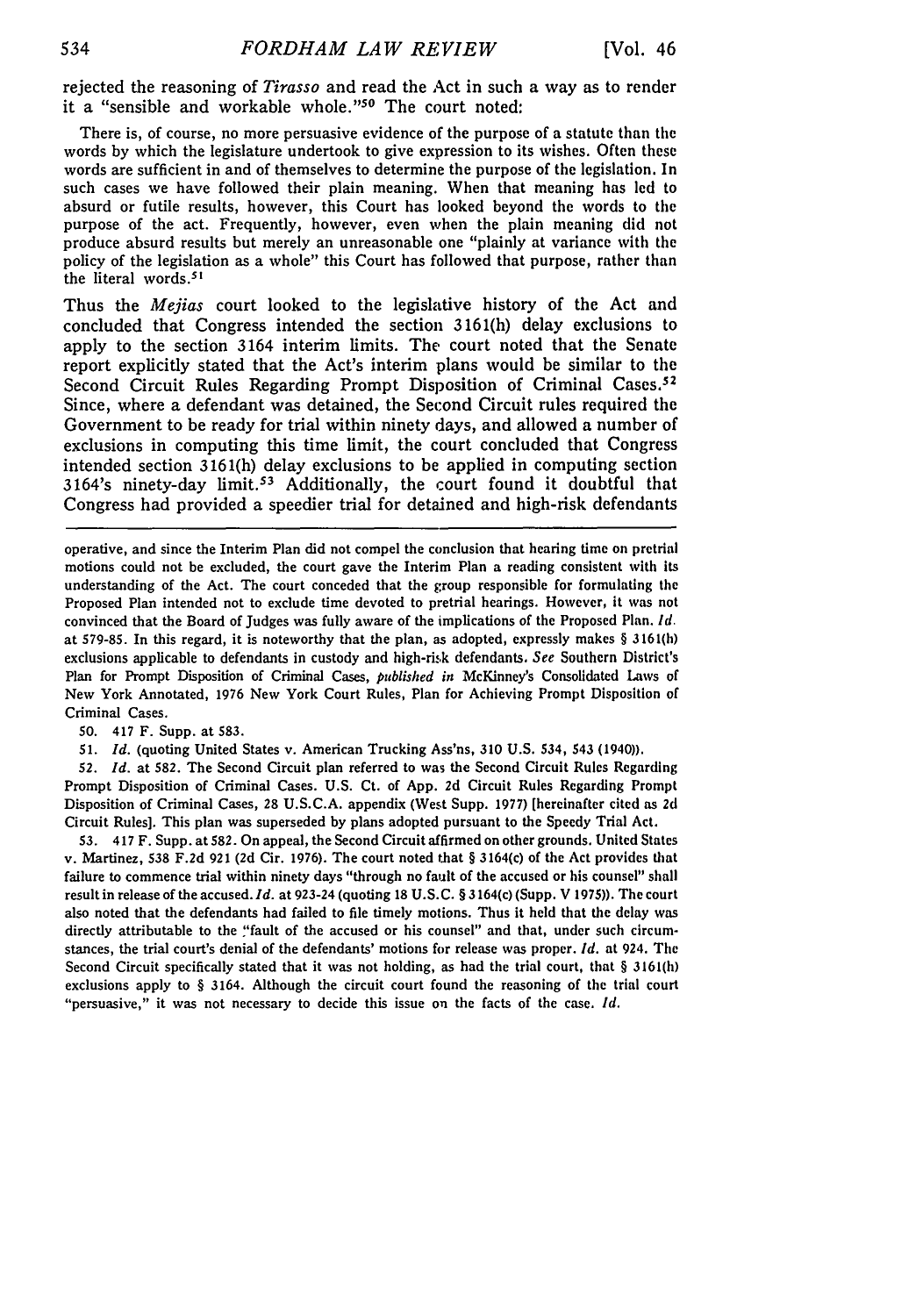rejected the reasoning of *Tirasso* and read the Act in such a way as to render it a "sensible and workable whole."<sup>50</sup> The court noted:

There is, of course, no more persuasive evidence of the purpose of a statute than the words by which the legislature undertook to give expression to its wishes. Often these words are sufficient in and of themselves to determine the purpose of the legislation. In such cases we have followed their plain meaning. When that meaning has led to absurd or futile results, however, this Court has looked beyond the words to **the** purpose of the act. Frequently, however, even when the plain meaning did not produce absurd results but merely an unreasonable one "plainly at variance with the policy of the legislation as a whole" this Court has followed that purpose, rather than the literal words.<sup>51</sup>

Thus the *Mejias* court looked to the legislative history of the Act and concluded that Congress intended the section 3161(h) delay exclusions to apply to the section 3164 interim limits. The court noted that the Senate report explicitly stated that the Act's interim plans would be similar to the Second Circuit Rules Regarding Prompt Disposition of Criminal Cases.<sup>52</sup> Since, where a defendant was detained, the Second Circuit rules required the Government to be ready for trial within ninety days, and allowed a number of exclusions in computing this time limit, the court concluded that Congress intended section 3161(h) delay exclusions to be applied in computing section 3164's ninety-day limit.<sup>53</sup> Additionally, the court found it doubtful that Congress had provided a speedier trial for detained and high-risk defendants

operative, and since the Interim Plan did not compel the conclusion that hearing time on pretrial motions could not be excluded, the court gave the Interim Plan a reading consistent with its understanding of the Act. The court conceded that the group responsible for formulating the Proposed Plan intended not to exclude time devoted to pretrial hearings. However, it was not convinced that the Board of Judges was fully aware of the implications of the Proposed Plan. *Id.* at **579-85.** In this regard, it is noteworthy that the plan, as adopted, expressly makes § 3161(h) exclusions applicable to defendants in custody and high-rik defendants. *See* Southern District's Plan for Prompt Disposition of Criminal Cases, *published in* McKinney's Consolidated Laws of New York Annotated, 1976 New York Court Rules, Plan for Achieving Prompt Disposition **of** Criminal Cases.

**50.** 417 F. Supp. at **583.**

**51.** *Id.* (quoting United States v. American Trucking Ass'ns, **310** U.S. 534, 543 (1940)).

**52.** *Id.* at 582. The Second Circuit plan referred to was the Second Circuit Rules Regarding Prompt Disposition of Criminal Cases. U.S. Ct. of App. **2d** Circuit Rules Regarding Prompt Disposition of Criminal Cases, 28 U.S.C.A. appendix (West Supp. **1977)** [hereinafter cited as **2d** Circuit Rules]. This plan was superseded **by** plans adopted pursuant to the Speedy Trial Act.

**53.** 417 F. Supp. at **582.** On appeal, the Second Circuit affirmed on other grounds. United States v. Martinez, **538 F.2d 921 (2d** Cir. 1976). The court noted that § 3164(c) of the Act provides that failure to commence trial within ninety days "through no fault of the accused or his counsel" shall result in release of the accused. *Id.* at 923-24 (quoting 18 U.S.C. § 3164(c) (Supp. V **1975)).** The court also noted that the defendants had failed to file timely motions. Thus it held that the delay was directly attributable to the "fault of the accused or his counsel" and that, under such circumstances, the trial court's denial of the defendants' motions for release was proper. *Id.* at 924. The Second Circuit specifically stated that it was not holding, as had the trial court, that § **3161(h)** exclusions apply to § 3164. Although the circuit court found the reasoning of the trial court "persuasive," it was not necessary to decide this issue on the facts of the case. *Id.*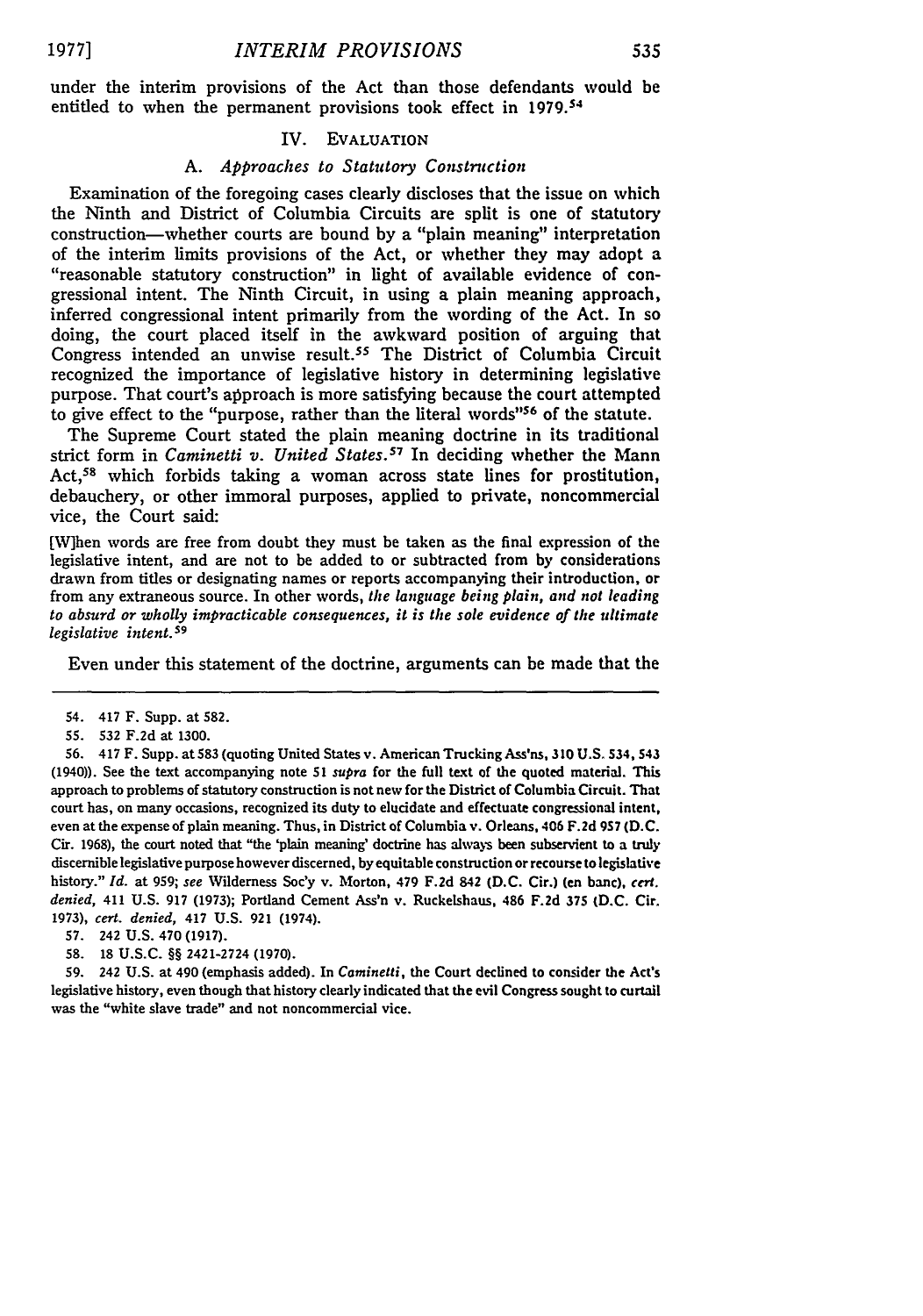**1977]**

under the interim provisions of the Act than those defendants would be entitled to when the permanent provisions took effect in 1979.<sup>54</sup>

## IV. EVALUATION

#### *A. Approaches to Statutory Construction*

Examination of the foregoing cases clearly discloses that the issue on which the Ninth and District of Columbia Circuits are split is one of statutory construction-whether courts are bound by a "plain meaning" interpretation of the interim limits provisions of the Act, or whether they may adopt a "reasonable statutory construction" in light of available evidence of congressional intent. The Ninth Circuit, in using a plain meaning approach, inferred congressional intent primarily from the wording of the Act. In so doing, the court placed itself in the awkward position of arguing that Congress intended an unwise result.<sup>55</sup> The District of Columbia Circuit recognized the importance of legislative history in determining legislative purpose. That court's approach is more satisfying because the court attempted to give effect to the "purpose, rather than the literal words"<sup>56</sup> of the statute.

The Supreme Court stated the plain meaning doctrine in its traditional strict form in *Caminetti v. United States.<sup>57</sup>* In deciding whether the Mann Act,<sup>58</sup> which forbids taking a woman across state lines for prostitution, debauchery, or other immoral purposes, applied to private, noncommercial vice, the Court said:

[W]hen words are free from doubt they must be taken as the final expression of the legislative intent, and are not to be added to or subtracted from by considerations drawn from titles or designating names or reports accompanying their introduction, or from any extraneous source. In other words, *the language being plain, and not leading to absurd or wholly impracticable consequences, it is the sole evidence of the ultimate legislative intent.s9*

Even under this statement of the doctrine, arguments can be made that the

**58.** 18 U.S.C. §§ 2421-2724 (1970).

**59.** 242 U.S. at 490 (emphasis added). In *Caminetti,* the Court declined to consider the Act's legislative history, even though that history clearly indicated that the evil Congress sought to curtail was the "white slave trade" and not noncommercial vice.

<sup>54. 417</sup> F. Supp. at 582.

<sup>55.</sup> **532** F.2d at 1300.

**<sup>56.</sup>** 417 F. Supp. at **583** (quoting United States v. American Trucking Ass'ns, **310 U.S.** 534, **543** (1940)). See the text accompanying note **51** *supra* for the full text of the quoted material. This approach to problems of statutory construction is not new for the District of Columbia Circuit. That court has, on many occasions, recognized its duty to elucidate and effectuate congressional intent, even at the expense of plain meaning. Thus, in District of Columbia v. Orleans, 406 **F.2d 9S7 (D.C.** Cir. 1968), the court noted that "the 'plain meaning' doctrine has always been subservient to a **truly** discernible legislative purpose however discerned, **by** equitable construction or recourse to legislative history." *Id.* at **959;** *see* Wilderness Soc'y v. Morton, 479 **F.2d** 842 **(D.C.** Cir.) (en banc), *ccr. denied,* 411 U.S. 917 (1973); Portland Cement Ass'n v. Ruckelshaus, 486 **F.2d 375 (D.C.** Cir. 1973), *cert. denied,* 417 U.S. **921** (1974).

**<sup>57.</sup>** 242 U.S. 470 (1917).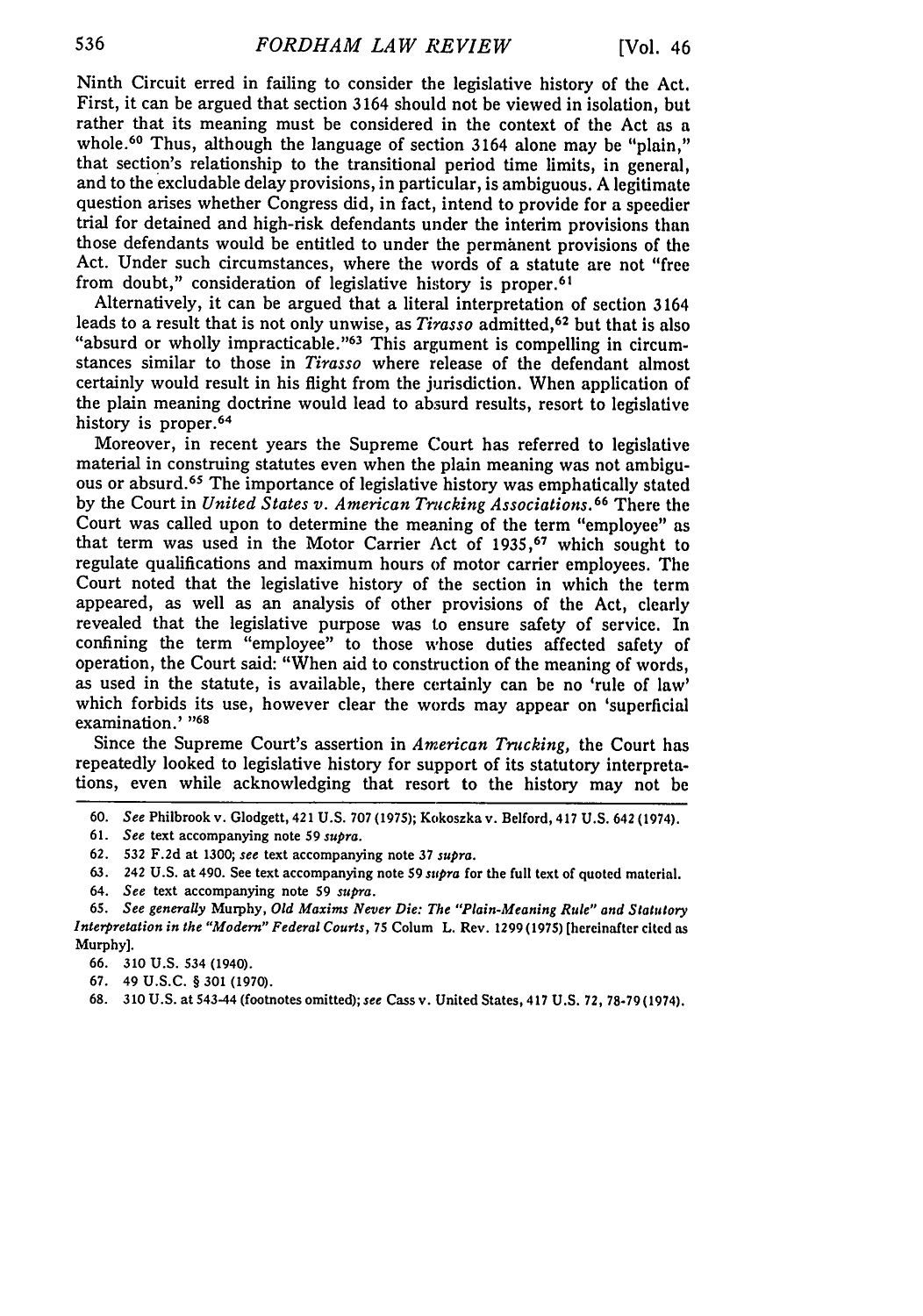Ninth Circuit erred in failing to consider the legislative history of the Act. First, it can be argued that section 3164 should not be viewed in isolation, but rather that its meaning must be considered in the context of the Act as a whole.<sup>60</sup> Thus, although the language of section 3164 alone may be "plain," that section's relationship to the transitional period time limits, in general, and to the excludable delay provisions, in particular, is ambiguous. A legitimate question arises whether Congress did, in fact, intend to provide for a speedier trial for detained and high-risk defendants under the interim provisions than those defendants would be entitled to under the permanent provisions of the Act. Under such circumstances, where the words of a statute are not "free from doubt," consideration of legislative history is proper.<sup>61</sup>

Alternatively, it can be argued that a literal interpretation of section 3164 leads to a result that is not only unwise, as *Tirasso* admitted, 62 but that is also "absurd or wholly impracticable. '63 This argument is compelling in circumstances similar to those in *Tirasso* where release of the defendant almost certainly would result in his flight from the jurisdiction. When application of the plain meaning doctrine would lead to absurd results, resort to legislative history is proper.<sup>64</sup>

Moreover, in recent years the Supreme Court has referred to legislative material in construing statutes even when the plain meaning was not ambiguous or absurd.65 The importance of legislative history was emphatically stated by the Court in *United States v. American Trucking Associations.*<sup>66</sup> There the Court was called upon to determine the meaning of the term "employee" as that term was used in the Motor Carrier Act of 1935,<sup>67</sup> which sought to regulate qualifications and maximum hours of motor carrier employees. The Court noted that the legislative history of the section in which the term appeared, as well as an analysis of other provisions of the Act, clearly revealed that the legislative purpose was to ensure safety of service. In confining the term "employee" to those whose duties affected safety of operation, the Court said: "When aid to construction of the meaning of words, as used in the statute, is available, there certainly can be no 'rule of law' which forbids its use, however clear the words may appear on 'superficial examination.' **"68**

Since the Supreme Court's assertion in *American Trucking,* the Court has repeatedly looked to legislative history for support of its statutory interpretations, even while acknowledging that resort to the history may not be

- 61. *See* text accompanying note 59 *supra.*
- 62. 532 F.2d at 1300; *see* text accompanying note 37 *supra.*
- 63. 242 U.S. at 490. See text accompanying note 59 *supra* for the full text of quoted material.
- 64. *See* text accompanying note 59 *supra.*
- 65. *See generally* Murphy, *Old Maxims Never Die: The "Plain-Meaning Rule" and Statutory Interpretation in the "Modern" Federal Courts,* 75 Colum L. Rev. 1299 (1975) (hereinafter cited as Murphy].
	- 66. 310 U.S. 534 (1940).
	- 67. 49 U.S.C. § 301 (1970).
	- 68. 310 U.S. at 543-44 (footnotes omitted); *see* Cass v. United States, 417 U.S. 72, 78-79(1974).

<sup>60.</sup> *See* Philbrook v. Glodgett, 421 U.S. 707 (1975); Kokoszka v. Belford, 417 U.S. 642 (1974).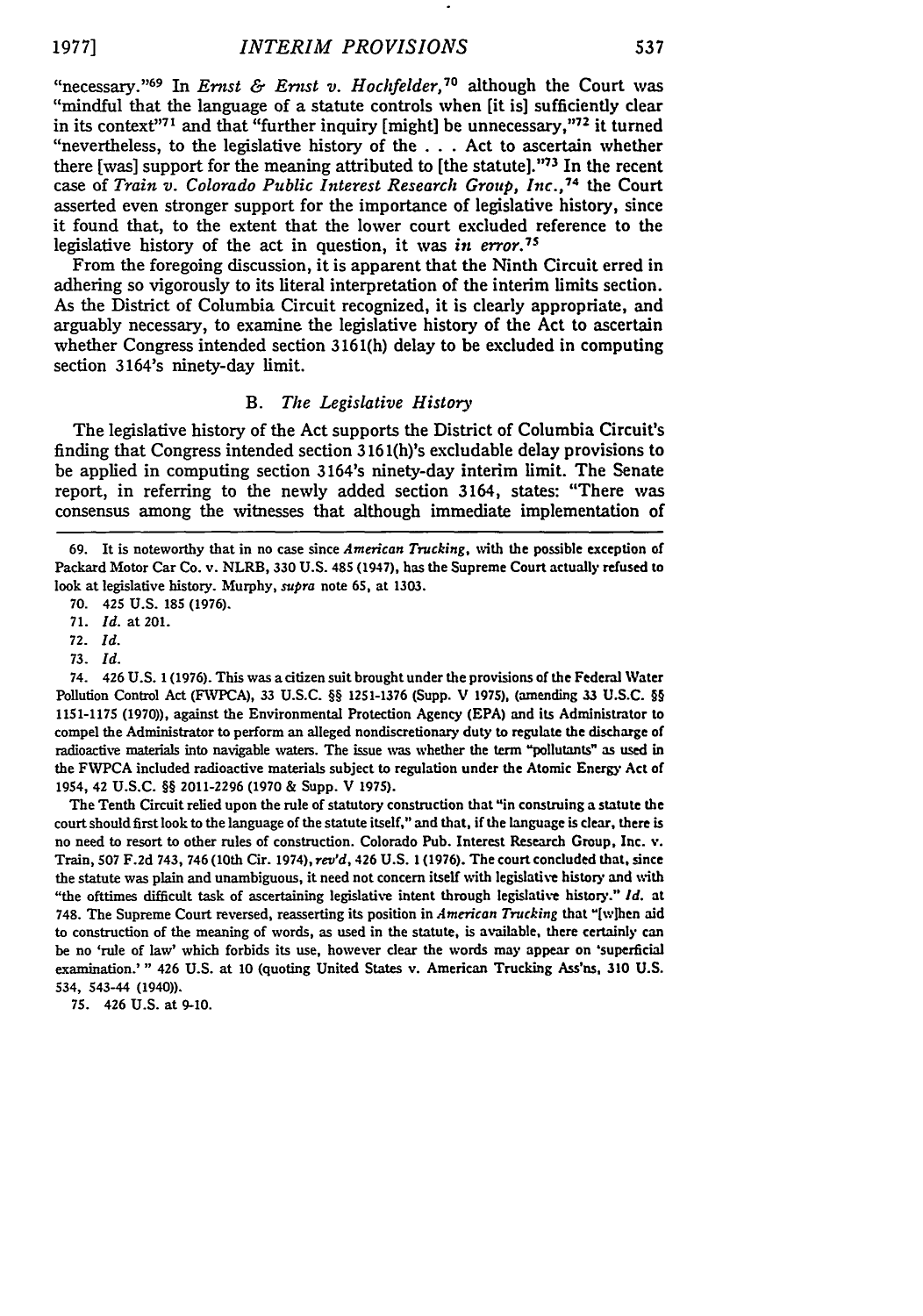"necessary."<sup>69</sup> In *Ernst & Ernst v. Hochfelder*,<sup>70</sup> although the Court was "mindful that the language of a statute controls when [it is] sufficiently **clear** in its context<sup>171</sup> and that "further inquiry [might] be unnecessary,"<sup>72</sup> it turned "nevertheless, to the legislative history of the **. . .** Act to ascertain whether there [was] support for the meaning attributed to [the statute].""73 In the recent case of *Train v. Colorado Public Interest Research Group, Inc.,<sup>74</sup> the Court* asserted even stronger support for the importance of legislative history, since it found that, to the extent that the lower court excluded reference to the legislative history of the act in question, it was *in error.7S*

From the foregoing discussion, it is apparent that the Ninth Circuit erred in adhering so vigorously to its literal interpretation of the interim limits section. As the District of Columbia Circuit recognized, it is clearly appropriate, and arguably necessary, to examine the legislative history of the Act to ascertain whether Congress intended section **3161(h)** delay to be excluded in computing section 3164's ninety-day limit.

## B. *The Legislative History*

The legislative history of the Act supports the District of Columbia Circuit's finding that Congress intended section **316** 1(h)'s excludable delay provisions to be applied in computing section 3164's ninety-day interim limit. The Senate report, in referring to the newly added section 3164, states: "There was consensus among the witnesses that although immediate implementation of

**70.** 425 **U.S. 185 (1976).**

The Tenth Circuit relied upon the rule of statutory construction that "in construing a statute the court should first look to the language of the statute itself," and that, if the language is clear, there is no need to resort to other rules of construction. Colorado Pub. Interest Research Group, Inc. v. Train, **507 F.2d** 743, 746 (10th Cir. 1974), *rev'd,* 426 **U.S. 1 (1976).** The court concluded that, since the statute was plain and unambiguous, it need not concern itself with legislative history and with "the ofttimes difficult task of ascertaining legislative intent through legislative history." *Id.* at 748. The Supreme Court reversed, reasserting its position in *American Trucking* that "Iwlhen aid to construction of the meaning of words, as used in the statute, is available, there certainly can be no 'rule of law' which forbids its use, however **clear** the words may appear on 'superficial examination.'" 426 **U.S.** at **10** (quoting United States v. American Trucking Ass'ns, **310 U.S.** 534, 543-44 (1940)).

**75.** 426 **U.S.** at **9-10.**

**<sup>69.</sup>** It is noteworthy that in no case since *American Trucking,* with the possible exception **of** Packard Motor Car Co. v. NLRB, **330 U.S.** 485 (1947), has the Supreme Court actually refused to look at legislative history. Murphy, *supra* note **65,** at **1303.**

**<sup>71.</sup>** *Id.* at 201.

**<sup>72.</sup>** *Id.* **73.** *Id.*

<sup>74. 426</sup> **U.S. 1 (1976).** This was a citizen suit brought under the provisions of the Federal Water Pollution Control Act (FWPCA), **33 U.S.C.** §§ **1251-1376** (Supp. V **1975),** (amending **33 U.S.C. §§ 1151-1175 (1970)),** against the Environmental Protection Agency **(EPA)** and its Administrator to compel the Administrator to perform an alleged nondiscretionary duty to regulate the discharge of radioactive materials into navigable waters. The issue **was** whether the term "pollutants" as used in the FWPCA included radioactive materials subject to regulation under the Atomic Energy Act **of** 1954, 42 **U.S.C.** §§ **2011-2296 (1970** & Supp. V **1975).**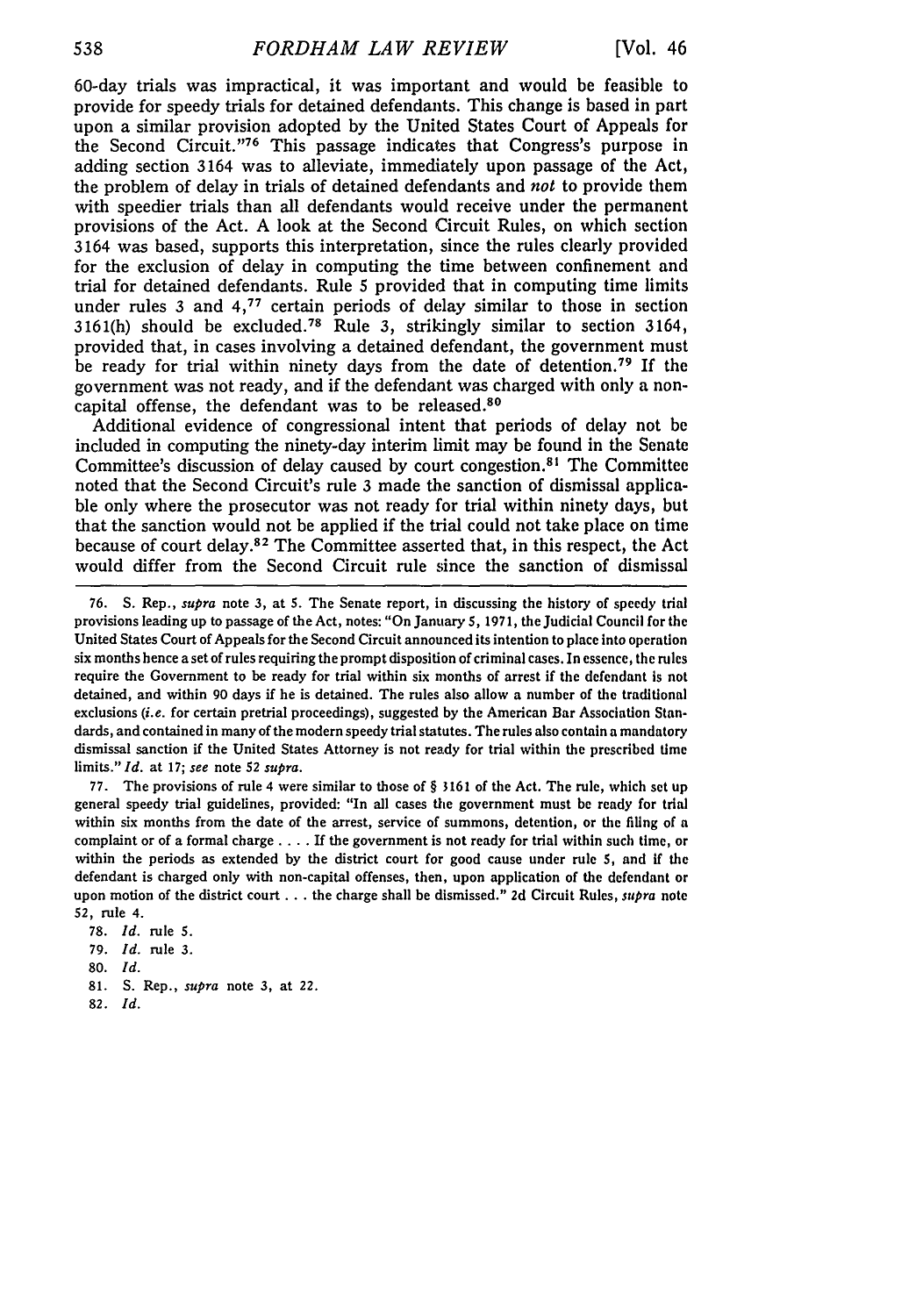60-day trials was impractical, it was important and would be feasible to provide for speedy trials for detained defendants. This change is based in part upon a similar provision adopted by the United States Court of Appeals for the Second Circuit."'76 This passage indicates that Congress's purpose in adding section 3164 was to alleviate, immediately upon passage of the Act, the problem of delay in trials of detained defendants and *not* to provide them with speedier trials than all defendants would receive under the permanent provisions of the Act. A look at the Second Circuit Rules, on which section 3164 was based, supports this interpretation, since the rules clearly provided for the exclusion of delay in computing the time between confinement and trial for detained defendants. Rule 5 provided that in computing time limits under rules 3 and 4,77 certain periods of delay similar to those in section 3161(h) should be excluded.<sup>78</sup> Rule 3, strikingly similar to section 3164 provided that, in cases involving a detained defendant, the government must be ready for trial within ninety days from the date of detention. 79 If the government was not ready, and if the defendant was charged with only a noncapital offense, the defendant was to be released.<sup>80</sup>

Additional evidence of congressional intent that periods of delay not be included in computing the ninety-day interim limit may be found in the Senate Committee's discussion of delay caused by court congestion.<sup>81</sup> The Committee noted that the Second Circuit's rule 3 made the sanction of dismissal applicable only where the prosecutor was not ready for trial within ninety days, but that the sanction would not be applied if the trial could not take place on time because of court delay.<sup>82</sup> The Committee asserted that, in this respect, the Act would differ from the Second Circuit rule since the sanction of dismissal

77. The provisions of rule 4 were similar to those of § 3161 of the Act. The rule, which set up general speedy trial guidelines, provided: "In all cases the government must be ready for trial within six months from the date of the arrest, service of summons, detention, or the filing of a complaint or of a formal charge **....** If the government is not ready for trial within such time, or within the periods as extended by the district court for good cause under rule 5, and if the defendant is charged only with non-capital offenses, then, upon application of the defendant or upon motion of the district court **...** the charge shall be dismissed." 2d Circuit Rules, *supra* note 52, rule 4.

- 79. *Id.* rule 3.
- 80. *Id.*
- 81. **S.** Rep., *supra* note 3, at 22.
- 82. *Id.*

<sup>76.</sup> **S.** Rep., *supra* note 3, at **S.** The Senate report, in discussing the history of speedy trial provisions leading up to passage of the Act, notes: "On January 5, 1971, the Judicial Council for the United States Court of Appeals for the Second Circuit announced its intention to place into operation six months hence a set of rules requiring the prompt disposition of criminal cases. In essence, the rules require the Government to be ready for trial within six months of arrest if the defendant is not detained, and within 90 days if he is detained. The rules also allow a number of the traditional exclusions *(i.e.* for certain pretrial proceedings), suggested by the American Bar Association Standards, and contained in many of the modern speedy trial statutes. The rules also contain a mandatory dismissal sanction if the United States Attorney is not ready for trial within the prescribed time limits." *Id.* at 17; *see* note 52 *supra.*

<sup>78.</sup> *Id.* rule **5.**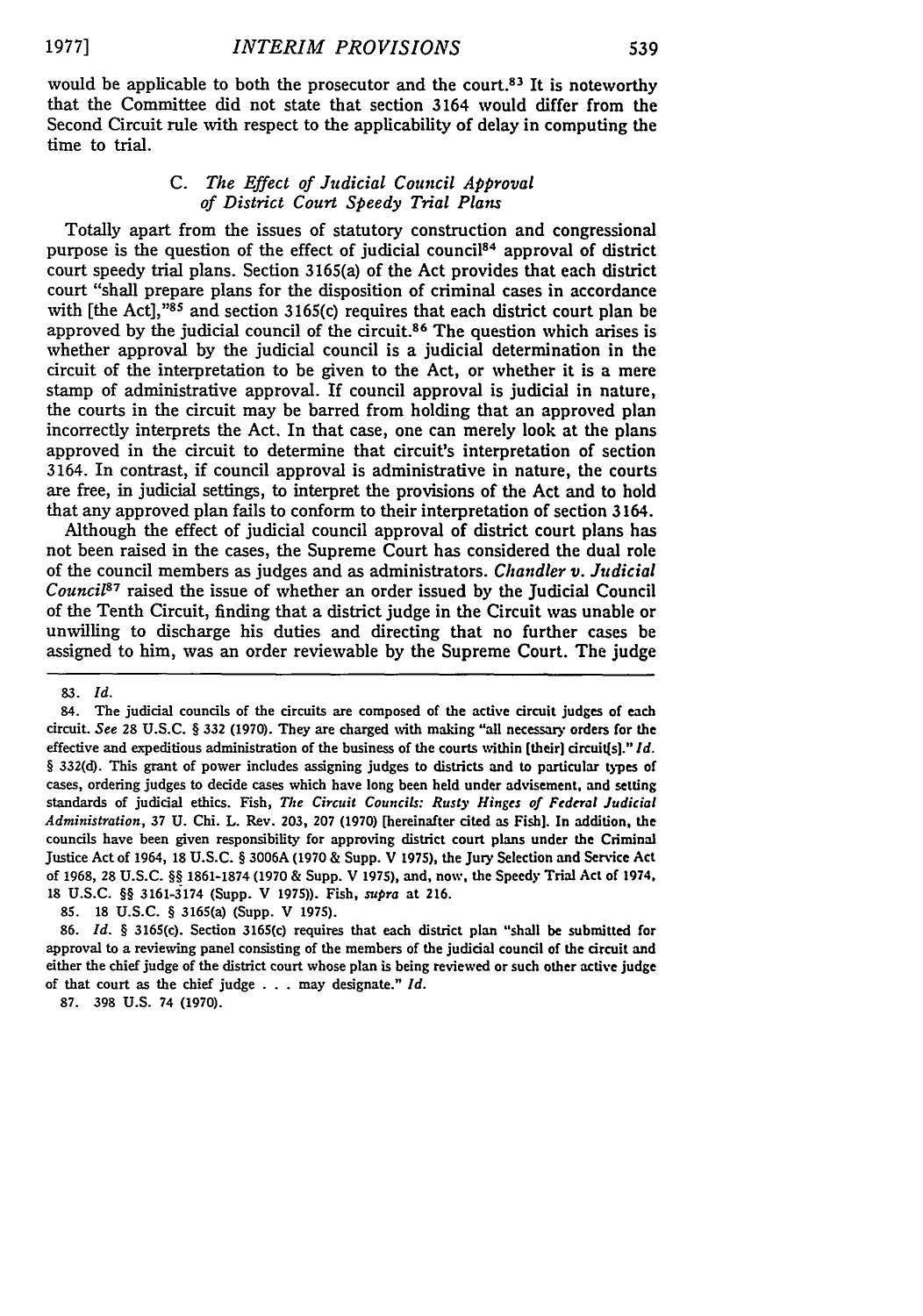would be applicable to both the prosecutor and the court.<sup>83</sup> It is noteworthy that the Committee did not state that section 3164 would differ from the Second Circuit rule with respect to the applicability of delay in computing the time to trial.

## *C. The Effect of Judicial Council Approval of District Court Speedy Trial Plans*

Totally apart from the issues of statutory construction and congressional purpose is the question of the effect of judicial council<sup>84</sup> approval of district court speedy trial plans. Section 3165(a) of the Act provides that each district court "shall prepare plans for the disposition of criminal cases in accordance with [the Act],<sup>385</sup> and section 3165(c) requires that each district court plan be approved by the judicial council of the circuit.<sup>86</sup> The question which arises is whether approval by the judicial council is a judicial determination in the circuit of the interpretation to be given to the Act, or whether it is a mere stamp of administrative approval. If council approval is judicial in nature, the courts in the circuit may be barred from holding that an approved plan incorrectly interprets the Act. In that case, one can merely look at the plans approved in the circuit to determine that circuit's interpretation of section 3164. In contrast, if council approval is administrative in nature, the courts are free, in judicial settings, to interpret the provisions of the Act and to hold that any approved plan fails to conform to their interpretation of section 3164.

Although the effect of judicial council approval of district court plans has not been raised in the cases, the Supreme Court has considered the dual role of the council members as judges and as administrators. *Chandler v. Judicial Council87* raised the issue of whether an order issued by the Judicial Council of the Tenth Circuit, finding that a district judge in the Circuit was unable or unwilling to discharge his duties and directing that no further cases be assigned to him, was an order reviewable by the Supreme Court. The judge

**87.** 398 U.S. 74 (1970).

*<sup>83.</sup> Id.*

**<sup>84.</sup>** The judicial councils of the circuits are composed of the active circuit judges of each circuit. *See* **28 U.S.C.** § **332 (1970).** They are charged with making "all necessary orders for the effective and expeditious administration of the business of the courts within [their] circuit[s]." *Id. §* **332(d).** This grant of power includes assigning judges to districts and to particular types of cases, ordering judges to decide cases which have long been held under advisement, and setting standards of judicial ethics. Fish, *The Circuit Councils: Rusty Hinges of Federal Judicial Administration,* **37 U.** Chi. L. Rev. 203, 207 (1970) [hereinafter cited as Fish]. In addition, the councils have been given responsibility for approving district court plans under the Criminal Justice Act of 1964, **18** U.S.C. *§* 3006A (1970 & Supp. V **1975),** the Jury Selection and Service Act of 1968, 28 U.S.C. *§§* 1861-1874 **(1970** & Supp. V 1975), and, now, the Speedy Trial Act of 1974. **18** U.S.C. **§§** 3161-3174 (Supp. V **1975)).** Fish, *supra* at 216.

<sup>85. 18</sup> U.S.C. *§* 3165(a) (Supp. V 1975).

<sup>86.</sup> *Id.* **§** 3165(c). Section 3165(c) requires that each district plan "shall be submitted for approval to a reviewing panel consisting of the members of the judicial council of the circuit and either the chief judge of the district court whose plan is being reviewed or such other active judge of that court as the chief judge . . . may designate." *Id.*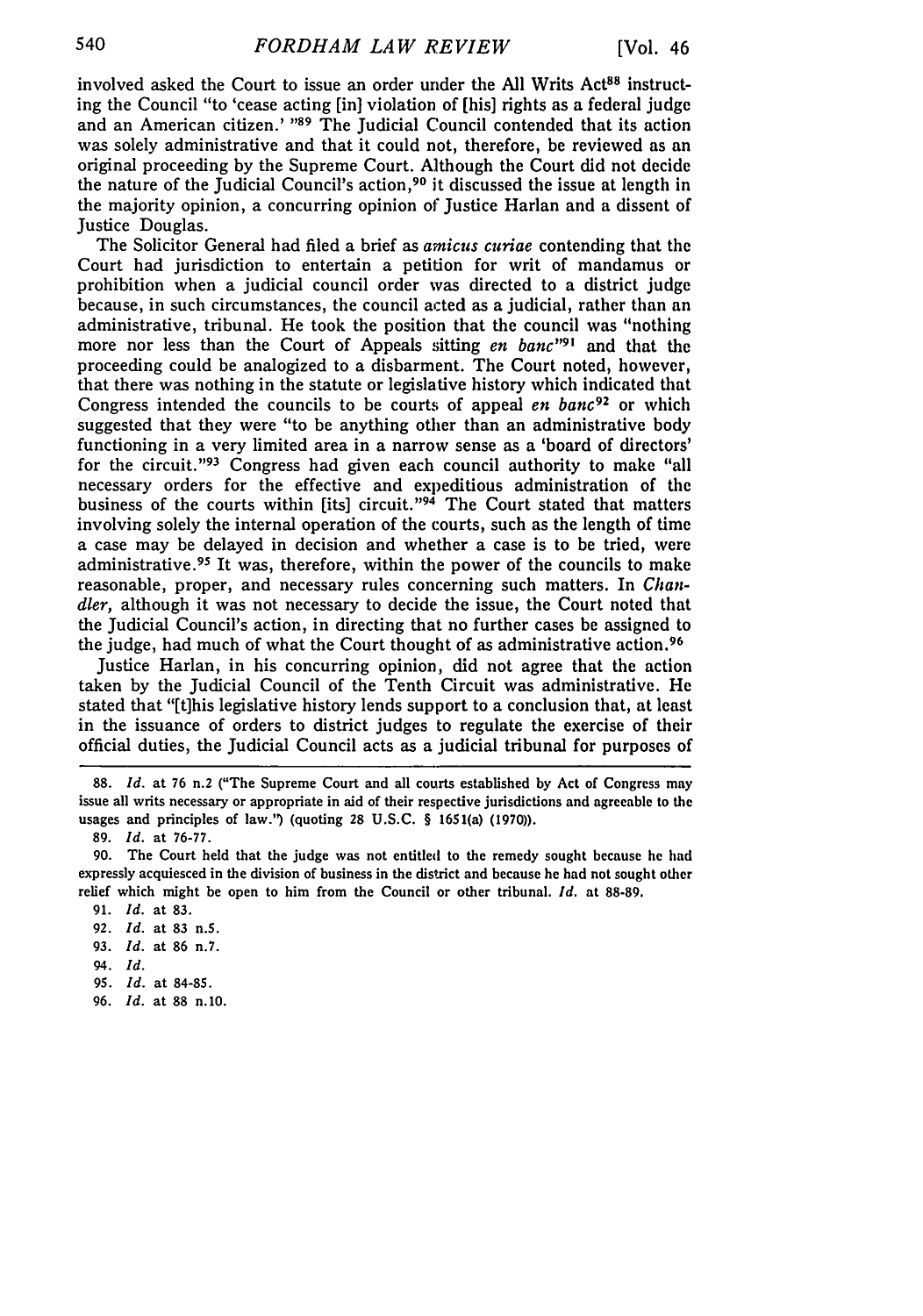involved asked the Court to issue an order under the All Writs Act<sup>88</sup> instructing the Council "to 'cease acting [in] violation of [his] rights as a federal judge and an American citizen.' **"89** The Judicial Council contended that its action was solely administrative and that it could not, therefore, be reviewed as an original proceeding by the Supreme Court. Although the Court did not decide the nature of the Judicial Council's action, 90 it discussed the issue at length in the majority opinion, a concurring opinion of Justice Harlan and a dissent of Justice Douglas.

The Solicitor General had filed a brief as *amicus curiae* contending that the Court had jurisdiction to entertain a petition for writ of mandamus or prohibition when a judicial council order was directed to a district judge because, in such circumstances, the council acted as a judicial, rather than an administrative, tribunal. He took the position that the council was "nothing more nor less than the Court of Appeals sitting *en banc*<sup>191</sup> and that the proceeding could be analogized to a disbarment. The Court noted, however, that there was nothing in the statute or legislative history which indicated that Congress intended the councils to be courts of appeal *en bane92* or which suggested that they were "to be anything other than an administrative body functioning in a very limited area in a narrow sense as a 'board of directors' for the circuit."<sup>93</sup> Congress had given each council authority to make "all necessary orders for the effective and expeditious administration of the business of the courts within [its] circuit." $94$  The Court stated that matters involving solely the internal operation of the courts, such as the length of time a case may be delayed in decision and whether a case is to be tried, were administrative. 95 It was, therefore, within the power of the councils to make reasonable, proper, and necessary rules concerning such matters. In *Chandler,* although it was not necessary to decide the issue, the Court noted that the Judicial Council's action, in directing that no further cases be assigned to the judge, had much of what the Court thought of as administrative action. <sup>96</sup>

Justice Harlan, in his concurring opinion, did not agree that the action taken by the Judicial Council of the Tenth Circuit was administrative. He stated that "[t]his legislative history lends support to a conclusion that, at least in the issuance of orders to district judges to regulate the exercise of their official duties, the Judicial Council acts as a judicial tribunal for purposes of

89. *Id.* at 76-77.

90. The Court held that the judge was not entitled to the remedy sought because he had expressly acquiesced in the division of business in the district and because he had not sought other relief which might be open to him from the Council or other tribunal. *Id.* at 88-89.

- 91. *Id.* at 83.
- **92.** *Id.* at **83** n.5.
- **93.** *Id.* at 86 n.7.
- 94. *Id.*
- **95.** *Id.* at 84-85.
- 96. *Id.* at 88 n.10.

<sup>88.</sup> *Id.* at 76 n.2 ("The Supreme Court and all courts established by Act of Congress may issue all writs necessary or appropriate in aid of their respective jurisdictions and agreeable to the usages and principles of law.') (quoting 28 U.S.C. § 1651(a) (1970)).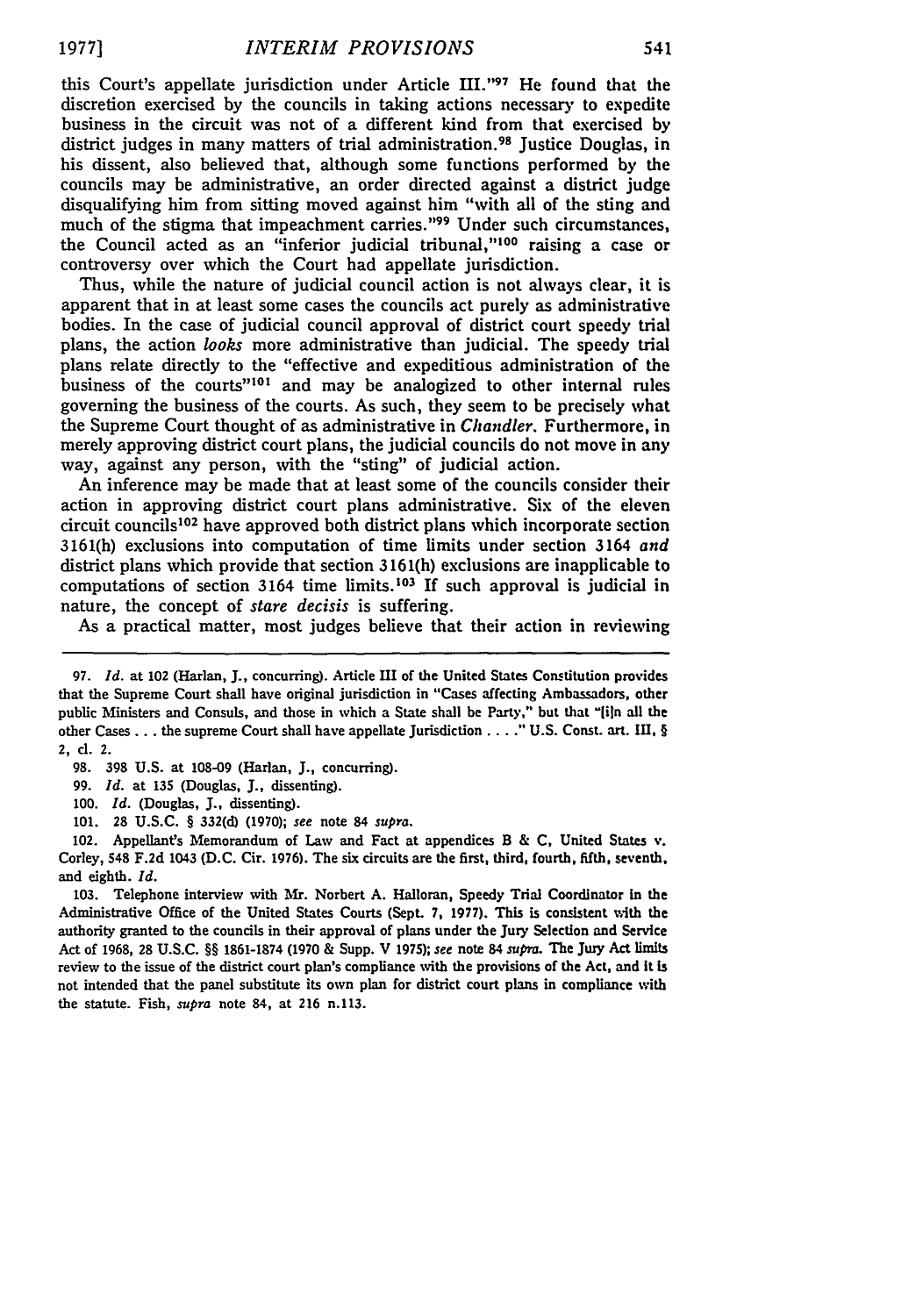this Court's appellate jurisdiction under Article **lI.'97** He found that the discretion exercised by the councils in taking actions necessary to expedite business in the circuit was not of a different kind from that exercised by district judges in many matters of trial administration.<sup>98</sup> Justice Douglas, in his dissent, also believed that, although some functions performed by the councils may be administrative, an order directed against a district judge disqualifying him from sitting moved against him "with all of the sting and much of the stigma that impeachment carries."<sup>99</sup> Under such circumstances. the Council acted as an "inferior judicial tribunal,"<sup>100</sup> raising a case or controversy over which the Court had appellate jurisdiction.

Thus, while the nature of judicial council action is not always clear, it is apparent that in at least some cases the councils act purely as administrative bodies. In the case of judicial council approval of district court speedy trial plans, the action *looks* more administrative than judicial. The speedy trial plans relate directly to the "effective and expeditious administration of the business of the courts"<sup>101</sup> and may be analogized to other internal rules governing the business of the courts. As such, they seem to be precisely what the Supreme Court thought of as administrative in *Chandler.* Furthermore, in merely approving district court plans, the judicial councils do not move in any way, against any person, with the "sting" of judicial action.

An inference may be made that at least some of the councils consider their action in approving district court plans administrative. Six of the eleven circuit councils<sup>102</sup> have approved both district plans which incorporate section 3161(h) exclusions into computation of time limits under section 3164 *and* district plans which provide that section 3161(h) exclusions are inapplicable to computations of section 3164 time limits.<sup>103</sup> If such approval is judicial in nature, the concept of *stare decisis* is suffering.

As a practical matter, most judges believe that their action in reviewing

98. **398** U.S. at 108-09 (Harlan, **J.,** concurring).

- 99. *Id.* at **135** (Douglas, **J.,** dissenting).
- 100. *Id.* (Douglas, **J.,** dissenting).
- 101. **28** U.S.C. § 332(d) **(1970);** *see* note 84 *supra.*

102. Appellants Memorandum of Law and Fact at appendices B & C, United States v. Corley, 548 **F.2d** 1043 **(D.C.** Cir. 1976). The six circuits are the first, third, fourth, fifth, seventh, and eighth. *Id.*

**103.** Telephone interview with Mr. Norbert A. Halloran, Speedy Trial Coordinator in the Administrative Office of the United States Courts (Sept. **7, 1977).** This is consistent with the authority granted to the councils in their approval of plans under the Jury Selection and Service Act of 1968, **28** U.S.C. §§ 1861-1874 **(1970 &** Supp. V **1975);** *see* note 84 *supm.* The Juy Act limits review to the issue of the district court plan's compliance with the provisions of the Act, and it is not intended that the panel substitute its own plan for district court plans in compliance with the statute. Fish, *supra* note 84, at **216** n.113.

**<sup>97.</sup>** *Id.* at 102 (Harlan, J., concurring). Article III of the United States Constitution provides that the Supreme Court shall have original jurisdiction in "Cases affecting Ambassadors, other public Ministers and Consuls, and those in which a State shall be Party," but that **"[iln** all the other Cases... the supreme Court shall have appellate Jurisdiction **....** U.S. ConsL art. **in,** § 2, cl. 2.